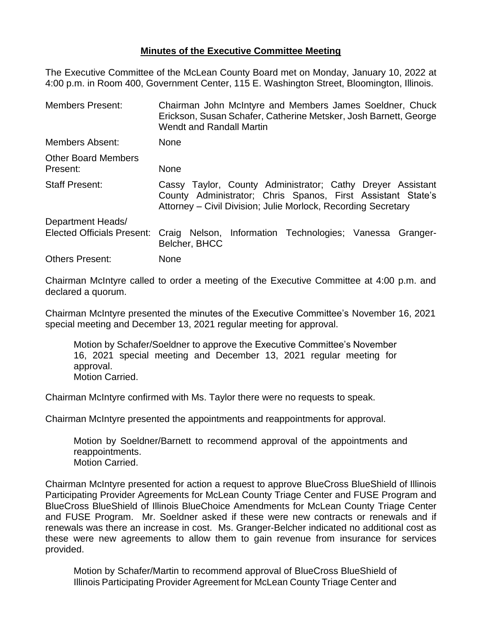## **Minutes of the Executive Committee Meeting**

The Executive Committee of the McLean County Board met on Monday, January 10, 2022 at 4:00 p.m. in Room 400, Government Center, 115 E. Washington Street, Bloomington, Illinois.

| <b>Members Present:</b>                | Chairman John McIntyre and Members James Soeldner, Chuck<br>Erickson, Susan Schafer, Catherine Metsker, Josh Barnett, George<br><b>Wendt and Randall Martin</b>                            |  |  |  |  |
|----------------------------------------|--------------------------------------------------------------------------------------------------------------------------------------------------------------------------------------------|--|--|--|--|
| Members Absent:                        | <b>None</b>                                                                                                                                                                                |  |  |  |  |
| <b>Other Board Members</b><br>Present: | <b>None</b>                                                                                                                                                                                |  |  |  |  |
| <b>Staff Present:</b>                  | Cassy Taylor, County Administrator; Cathy Dreyer Assistant<br>County Administrator; Chris Spanos, First Assistant State's<br>Attorney – Civil Division; Julie Morlock, Recording Secretary |  |  |  |  |
| Department Heads/                      |                                                                                                                                                                                            |  |  |  |  |
| <b>Elected Officials Present:</b>      | Craig Nelson, Information Technologies; Vanessa Granger-<br>Belcher, BHCC                                                                                                                  |  |  |  |  |
| <b>Others Present:</b>                 | <b>None</b>                                                                                                                                                                                |  |  |  |  |

Chairman McIntyre called to order a meeting of the Executive Committee at 4:00 p.m. and declared a quorum.

Chairman McIntyre presented the minutes of the Executive Committee's November 16, 2021 special meeting and December 13, 2021 regular meeting for approval.

Motion by Schafer/Soeldner to approve the Executive Committee's November 16, 2021 special meeting and December 13, 2021 regular meeting for approval. Motion Carried.

Chairman McIntyre confirmed with Ms. Taylor there were no requests to speak.

Chairman McIntyre presented the appointments and reappointments for approval.

Motion by Soeldner/Barnett to recommend approval of the appointments and reappointments. Motion Carried.

Chairman McIntyre presented for action a request to approve BlueCross BlueShield of Illinois Participating Provider Agreements for McLean County Triage Center and FUSE Program and BlueCross BlueShield of Illinois BlueChoice Amendments for McLean County Triage Center and FUSE Program. Mr. Soeldner asked if these were new contracts or renewals and if renewals was there an increase in cost. Ms. Granger-Belcher indicated no additional cost as these were new agreements to allow them to gain revenue from insurance for services provided.

Motion by Schafer/Martin to recommend approval of BlueCross BlueShield of Illinois Participating Provider Agreement for McLean County Triage Center and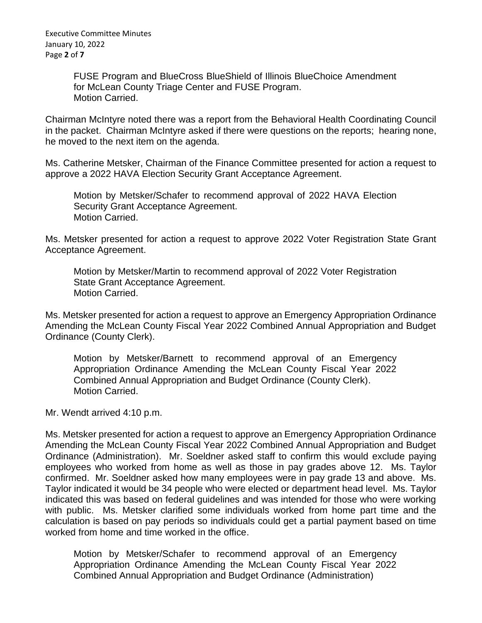FUSE Program and BlueCross BlueShield of Illinois BlueChoice Amendment for McLean County Triage Center and FUSE Program. Motion Carried.

Chairman McIntyre noted there was a report from the Behavioral Health Coordinating Council in the packet. Chairman McIntyre asked if there were questions on the reports; hearing none, he moved to the next item on the agenda.

Ms. Catherine Metsker, Chairman of the Finance Committee presented for action a request to approve a 2022 HAVA Election Security Grant Acceptance Agreement.

Motion by Metsker/Schafer to recommend approval of 2022 HAVA Election Security Grant Acceptance Agreement. Motion Carried.

Ms. Metsker presented for action a request to approve 2022 Voter Registration State Grant Acceptance Agreement.

Motion by Metsker/Martin to recommend approval of 2022 Voter Registration State Grant Acceptance Agreement. Motion Carried.

Ms. Metsker presented for action a request to approve an Emergency Appropriation Ordinance Amending the McLean County Fiscal Year 2022 Combined Annual Appropriation and Budget Ordinance (County Clerk).

Motion by Metsker/Barnett to recommend approval of an Emergency Appropriation Ordinance Amending the McLean County Fiscal Year 2022 Combined Annual Appropriation and Budget Ordinance (County Clerk). Motion Carried.

Mr. Wendt arrived 4:10 p.m.

Ms. Metsker presented for action a request to approve an Emergency Appropriation Ordinance Amending the McLean County Fiscal Year 2022 Combined Annual Appropriation and Budget Ordinance (Administration). Mr. Soeldner asked staff to confirm this would exclude paying employees who worked from home as well as those in pay grades above 12. Ms. Taylor confirmed. Mr. Soeldner asked how many employees were in pay grade 13 and above. Ms. Taylor indicated it would be 34 people who were elected or department head level. Ms. Taylor indicated this was based on federal guidelines and was intended for those who were working with public. Ms. Metsker clarified some individuals worked from home part time and the calculation is based on pay periods so individuals could get a partial payment based on time worked from home and time worked in the office.

Motion by Metsker/Schafer to recommend approval of an Emergency Appropriation Ordinance Amending the McLean County Fiscal Year 2022 Combined Annual Appropriation and Budget Ordinance (Administration)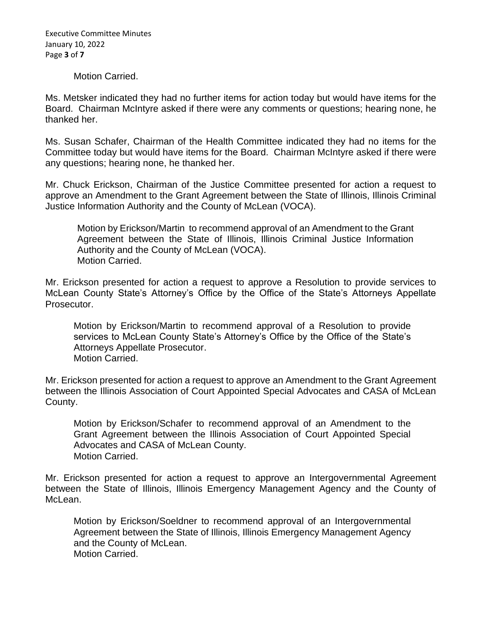Executive Committee Minutes January 10, 2022 Page **3** of **7**

## Motion Carried.

Ms. Metsker indicated they had no further items for action today but would have items for the Board. Chairman McIntyre asked if there were any comments or questions; hearing none, he thanked her.

Ms. Susan Schafer, Chairman of the Health Committee indicated they had no items for the Committee today but would have items for the Board. Chairman McIntyre asked if there were any questions; hearing none, he thanked her.

Mr. Chuck Erickson, Chairman of the Justice Committee presented for action a request to approve an Amendment to the Grant Agreement between the State of Illinois, Illinois Criminal Justice Information Authority and the County of McLean (VOCA).

Motion by Erickson/Martin to recommend approval of an Amendment to the Grant Agreement between the State of Illinois, Illinois Criminal Justice Information Authority and the County of McLean (VOCA). Motion Carried.

Mr. Erickson presented for action a request to approve a Resolution to provide services to McLean County State's Attorney's Office by the Office of the State's Attorneys Appellate Prosecutor.

Motion by Erickson/Martin to recommend approval of a Resolution to provide services to McLean County State's Attorney's Office by the Office of the State's Attorneys Appellate Prosecutor. Motion Carried.

Mr. Erickson presented for action a request to approve an Amendment to the Grant Agreement between the Illinois Association of Court Appointed Special Advocates and CASA of McLean County.

Motion by Erickson/Schafer to recommend approval of an Amendment to the Grant Agreement between the Illinois Association of Court Appointed Special Advocates and CASA of McLean County. Motion Carried.

Mr. Erickson presented for action a request to approve an Intergovernmental Agreement between the State of Illinois, Illinois Emergency Management Agency and the County of McLean.

Motion by Erickson/Soeldner to recommend approval of an Intergovernmental Agreement between the State of Illinois, Illinois Emergency Management Agency and the County of McLean. Motion Carried.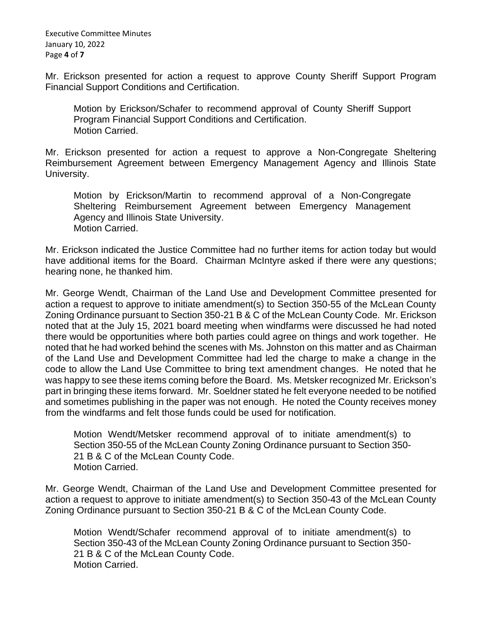Executive Committee Minutes January 10, 2022 Page **4** of **7**

Mr. Erickson presented for action a request to approve County Sheriff Support Program Financial Support Conditions and Certification.

Motion by Erickson/Schafer to recommend approval of County Sheriff Support Program Financial Support Conditions and Certification. Motion Carried.

Mr. Erickson presented for action a request to approve a Non-Congregate Sheltering Reimbursement Agreement between Emergency Management Agency and Illinois State University.

Motion by Erickson/Martin to recommend approval of a Non-Congregate Sheltering Reimbursement Agreement between Emergency Management Agency and Illinois State University. Motion Carried.

Mr. Erickson indicated the Justice Committee had no further items for action today but would have additional items for the Board. Chairman McIntyre asked if there were any questions; hearing none, he thanked him.

Mr. George Wendt, Chairman of the Land Use and Development Committee presented for action a request to approve to initiate amendment(s) to Section 350-55 of the McLean County Zoning Ordinance pursuant to Section 350-21 B & C of the McLean County Code. Mr. Erickson noted that at the July 15, 2021 board meeting when windfarms were discussed he had noted there would be opportunities where both parties could agree on things and work together. He noted that he had worked behind the scenes with Ms. Johnston on this matter and as Chairman of the Land Use and Development Committee had led the charge to make a change in the code to allow the Land Use Committee to bring text amendment changes. He noted that he was happy to see these items coming before the Board. Ms. Metsker recognized Mr. Erickson's part in bringing these items forward. Mr. Soeldner stated he felt everyone needed to be notified and sometimes publishing in the paper was not enough. He noted the County receives money from the windfarms and felt those funds could be used for notification.

Motion Wendt/Metsker recommend approval of to initiate amendment(s) to Section 350-55 of the McLean County Zoning Ordinance pursuant to Section 350- 21 B & C of the McLean County Code. Motion Carried.

Mr. George Wendt, Chairman of the Land Use and Development Committee presented for action a request to approve to initiate amendment(s) to Section 350-43 of the McLean County Zoning Ordinance pursuant to Section 350-21 B & C of the McLean County Code.

Motion Wendt/Schafer recommend approval of to initiate amendment(s) to Section 350-43 of the McLean County Zoning Ordinance pursuant to Section 350- 21 B & C of the McLean County Code. Motion Carried.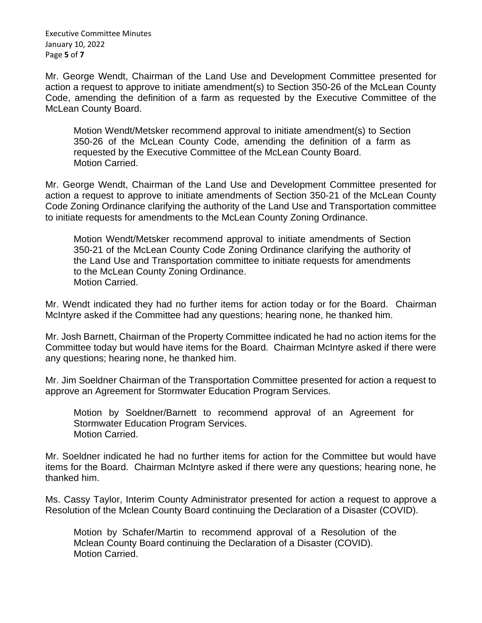Executive Committee Minutes January 10, 2022 Page **5** of **7**

Mr. George Wendt, Chairman of the Land Use and Development Committee presented for action a request to approve to initiate amendment(s) to Section 350-26 of the McLean County Code, amending the definition of a farm as requested by the Executive Committee of the McLean County Board.

Motion Wendt/Metsker recommend approval to initiate amendment(s) to Section 350-26 of the McLean County Code, amending the definition of a farm as requested by the Executive Committee of the McLean County Board. Motion Carried.

Mr. George Wendt, Chairman of the Land Use and Development Committee presented for action a request to approve to initiate amendments of Section 350-21 of the McLean County Code Zoning Ordinance clarifying the authority of the Land Use and Transportation committee to initiate requests for amendments to the McLean County Zoning Ordinance.

Motion Wendt/Metsker recommend approval to initiate amendments of Section 350-21 of the McLean County Code Zoning Ordinance clarifying the authority of the Land Use and Transportation committee to initiate requests for amendments to the McLean County Zoning Ordinance. Motion Carried.

Mr. Wendt indicated they had no further items for action today or for the Board. Chairman McIntyre asked if the Committee had any questions; hearing none, he thanked him.

Mr. Josh Barnett, Chairman of the Property Committee indicated he had no action items for the Committee today but would have items for the Board. Chairman McIntyre asked if there were any questions; hearing none, he thanked him.

Mr. Jim Soeldner Chairman of the Transportation Committee presented for action a request to approve an Agreement for Stormwater Education Program Services.

Motion by Soeldner/Barnett to recommend approval of an Agreement for Stormwater Education Program Services. Motion Carried.

Mr. Soeldner indicated he had no further items for action for the Committee but would have items for the Board. Chairman McIntyre asked if there were any questions; hearing none, he thanked him.

Ms. Cassy Taylor, Interim County Administrator presented for action a request to approve a Resolution of the Mclean County Board continuing the Declaration of a Disaster (COVID).

Motion by Schafer/Martin to recommend approval of a Resolution of the Mclean County Board continuing the Declaration of a Disaster (COVID). Motion Carried.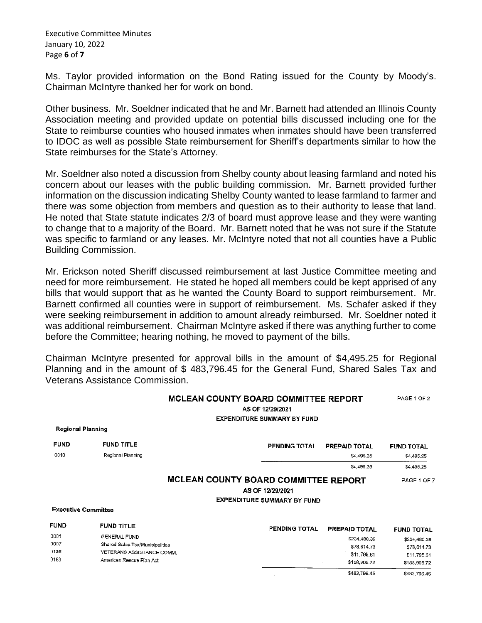Executive Committee Minutes January 10, 2022 Page **6** of **7**

Ms. Taylor provided information on the Bond Rating issued for the County by Moody's. Chairman McIntyre thanked her for work on bond.

Other business. Mr. Soeldner indicated that he and Mr. Barnett had attended an Illinois County Association meeting and provided update on potential bills discussed including one for the State to reimburse counties who housed inmates when inmates should have been transferred to IDOC as well as possible State reimbursement for Sheriff's departments similar to how the State reimburses for the State's Attorney.

Mr. Soeldner also noted a discussion from Shelby county about leasing farmland and noted his concern about our leases with the public building commission. Mr. Barnett provided further information on the discussion indicating Shelby County wanted to lease farmland to farmer and there was some objection from members and question as to their authority to lease that land. He noted that State statute indicates 2/3 of board must approve lease and they were wanting to change that to a majority of the Board. Mr. Barnett noted that he was not sure if the Statute was specific to farmland or any leases. Mr. McIntyre noted that not all counties have a Public Building Commission.

Mr. Erickson noted Sheriff discussed reimbursement at last Justice Committee meeting and need for more reimbursement. He stated he hoped all members could be kept apprised of any bills that would support that as he wanted the County Board to support reimbursement. Mr. Barnett confirmed all counties were in support of reimbursement. Ms. Schafer asked if they were seeking reimbursement in addition to amount already reimbursed. Mr. Soeldner noted it was additional reimbursement. Chairman McIntyre asked if there was anything further to come before the Committee; hearing nothing, he moved to payment of the bills.

Chairman McIntyre presented for approval bills in the amount of \$4,495.25 for Regional Planning and in the amount of \$ 483,796.45 for the General Fund, Shared Sales Tax and Veterans Assistance Commission.

|                            |                                 | <b>MCLEAN COUNTY BOARD COMMITTEE REPORT</b><br>AS OF 12/29/2021<br><b>EXPENDITURE SUMMARY BY FUND</b> |                      |               |                   |  |
|----------------------------|---------------------------------|-------------------------------------------------------------------------------------------------------|----------------------|---------------|-------------------|--|
| <b>Regional Planning</b>   |                                 |                                                                                                       |                      |               |                   |  |
| <b>FUND</b>                | <b>FUND TITLE</b>               |                                                                                                       | <b>PENDING TOTAL</b> | PREPAID TOTAL | <b>FUND TOTAL</b> |  |
| 0010                       | Regional Planning               |                                                                                                       |                      | \$4.495.25    | \$4,495.25        |  |
|                            |                                 |                                                                                                       |                      | \$4,495.25    | \$4,495.25        |  |
|                            |                                 | MCLEAN COUNTY BOARD COMMITTEE REPORT                                                                  |                      |               | PAGE 1 OF 7       |  |
|                            | AS OF 12/29/2021                |                                                                                                       |                      |               |                   |  |
|                            |                                 | <b>EXPENDITURE SUMMARY BY FUND</b>                                                                    |                      |               |                   |  |
| <b>Executive Committee</b> |                                 |                                                                                                       |                      |               |                   |  |
| <b>FUND</b>                | FUND TITLE                      |                                                                                                       | PENDING TOTAL        | PREPAID TOTAL | <b>FUND TOTAL</b> |  |
| 0001                       | GENERAL FUND                    |                                                                                                       |                      | \$234,480.39  | \$234,480.39      |  |
| 0007                       | Shared Sales Tax/Municipalities |                                                                                                       |                      | \$78,614.73   | \$78,614.73       |  |
| 0136                       | VETERANS ASSISTANCE COMM.       |                                                                                                       |                      | \$11,795.61   | \$11.795.61       |  |
| 0163                       | American Rescue Plan Act        |                                                                                                       |                      | \$158,905.72  | \$158,905.72      |  |

\$483,796.45 \$483,796.45